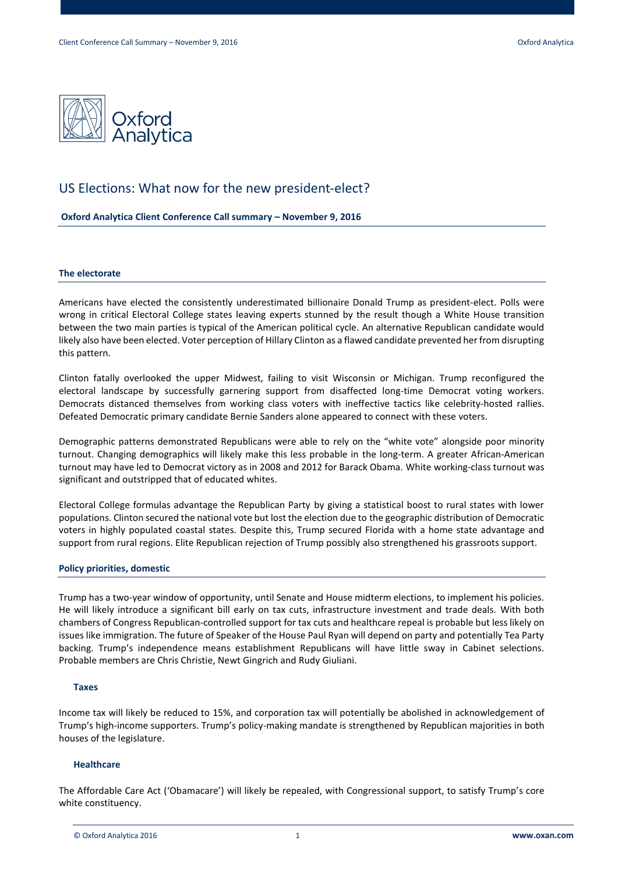

# US Elections: What now for the new president-elect?

**Oxford Analytica Client Conference Call summary – November 9, 2016**

# **The electorate**

Americans have elected the consistently underestimated billionaire Donald Trump as president-elect. Polls were wrong in critical Electoral College states leaving experts stunned by the result though a White House transition between the two main parties is typical of the American political cycle. An alternative Republican candidate would likely also have been elected. Voter perception of Hillary Clinton as a flawed candidate prevented her from disrupting this pattern.

Clinton fatally overlooked the upper Midwest, failing to visit Wisconsin or Michigan. Trump reconfigured the electoral landscape by successfully garnering support from disaffected long-time Democrat voting workers. Democrats distanced themselves from working class voters with ineffective tactics like celebrity-hosted rallies. Defeated Democratic primary candidate Bernie Sanders alone appeared to connect with these voters.

Demographic patterns demonstrated Republicans were able to rely on the "white vote" alongside poor minority turnout. Changing demographics will likely make this less probable in the long-term. A greater African-American turnout may have led to Democrat victory as in 2008 and 2012 for Barack Obama. White working-class turnout was significant and outstripped that of educated whites.

Electoral College formulas advantage the Republican Party by giving a statistical boost to rural states with lower populations. Clinton secured the national vote but lost the election due to the geographic distribution of Democratic voters in highly populated coastal states. Despite this, Trump secured Florida with a home state advantage and support from rural regions. Elite Republican rejection of Trump possibly also strengthened his grassroots support.

# **Policy priorities, domestic**

Trump has a two-year window of opportunity, until Senate and House midterm elections, to implement his policies. He will likely introduce a significant bill early on tax cuts, infrastructure investment and trade deals. With both chambers of Congress Republican-controlled support for tax cuts and healthcare repeal is probable but less likely on issues like immigration. The future of Speaker of the House Paul Ryan will depend on party and potentially Tea Party backing. Trump's independence means establishment Republicans will have little sway in Cabinet selections. Probable members are Chris Christie, Newt Gingrich and Rudy Giuliani.

# **Taxes**

Income tax will likely be reduced to 15%, and corporation tax will potentially be abolished in acknowledgement of Trump's high-income supporters. Trump's policy-making mandate is strengthened by Republican majorities in both houses of the legislature.

# **Healthcare**

The Affordable Care Act ('Obamacare') will likely be repealed, with Congressional support, to satisfy Trump's core white constituency.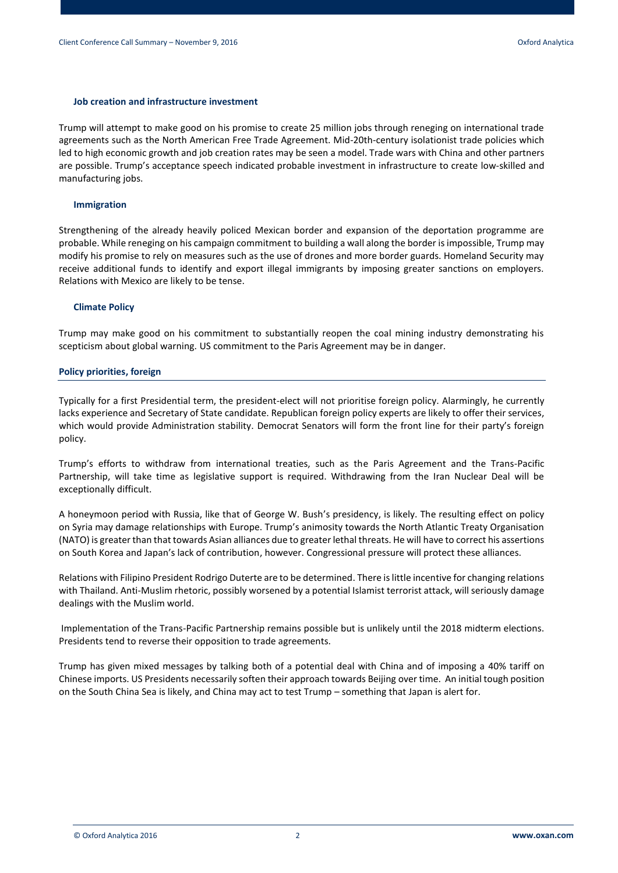#### **Job creation and infrastructure investment**

Trump will attempt to make good on his promise to create 25 million jobs through reneging on international trade agreements such as the North American Free Trade Agreement. Mid-20th-century isolationist trade policies which led to high economic growth and job creation rates may be seen a model. Trade wars with China and other partners are possible. Trump's acceptance speech indicated probable investment in infrastructure to create low-skilled and manufacturing jobs.

#### **Immigration**

Strengthening of the already heavily policed Mexican border and expansion of the deportation programme are probable. While reneging on his campaign commitment to building a wall along the border is impossible, Trump may modify his promise to rely on measures such as the use of drones and more border guards. Homeland Security may receive additional funds to identify and export illegal immigrants by imposing greater sanctions on employers. Relations with Mexico are likely to be tense.

#### **Climate Policy**

Trump may make good on his commitment to substantially reopen the coal mining industry demonstrating his scepticism about global warning. US commitment to the Paris Agreement may be in danger.

#### **Policy priorities, foreign**

Typically for a first Presidential term, the president-elect will not prioritise foreign policy. Alarmingly, he currently lacks experience and Secretary of State candidate. Republican foreign policy experts are likely to offer their services, which would provide Administration stability. Democrat Senators will form the front line for their party's foreign policy.

Trump's efforts to withdraw from international treaties, such as the Paris Agreement and the Trans-Pacific Partnership, will take time as legislative support is required. Withdrawing from the Iran Nuclear Deal will be exceptionally difficult.

A honeymoon period with Russia, like that of George W. Bush's presidency, is likely. The resulting effect on policy on Syria may damage relationships with Europe. Trump's animosity towards the North Atlantic Treaty Organisation (NATO) is greater than that towards Asian alliances due to greater lethal threats. He will have to correct his assertions on South Korea and Japan's lack of contribution, however. Congressional pressure will protect these alliances.

Relations with Filipino President Rodrigo Duterte are to be determined. There is little incentive for changing relations with Thailand. Anti-Muslim rhetoric, possibly worsened by a potential Islamist terrorist attack, will seriously damage dealings with the Muslim world.

Implementation of the Trans-Pacific Partnership remains possible but is unlikely until the 2018 midterm elections. Presidents tend to reverse their opposition to trade agreements.

Trump has given mixed messages by talking both of a potential deal with China and of imposing a 40% tariff on Chinese imports. US Presidents necessarily soften their approach towards Beijing over time. An initial tough position on the South China Sea is likely, and China may act to test Trump – something that Japan is alert for.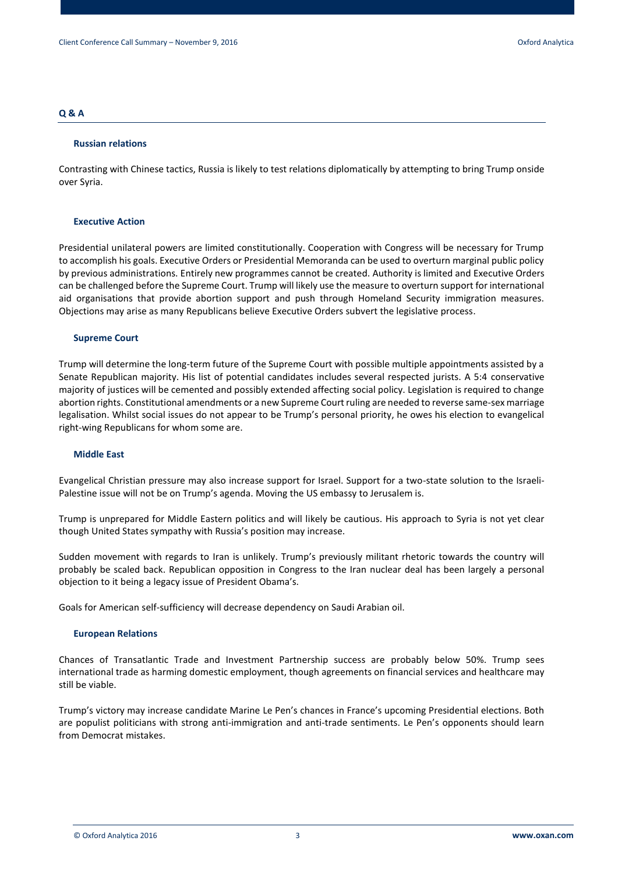# **Q & A**

#### **Russian relations**

Contrasting with Chinese tactics, Russia is likely to test relations diplomatically by attempting to bring Trump onside over Syria.

# **Executive Action**

Presidential unilateral powers are limited constitutionally. Cooperation with Congress will be necessary for Trump to accomplish his goals. Executive Orders or Presidential Memoranda can be used to overturn marginal public policy by previous administrations. Entirely new programmes cannot be created. Authority is limited and Executive Orders can be challenged before the Supreme Court. Trump will likely use the measure to overturn support for international aid organisations that provide abortion support and push through Homeland Security immigration measures. Objections may arise as many Republicans believe Executive Orders subvert the legislative process.

#### **Supreme Court**

Trump will determine the long-term future of the Supreme Court with possible multiple appointments assisted by a Senate Republican majority. His list of potential candidates includes several respected jurists. A 5:4 conservative majority of justices will be cemented and possibly extended affecting social policy. Legislation is required to change abortion rights. Constitutional amendments or a new Supreme Court ruling are needed to reverse same-sex marriage legalisation. Whilst social issues do not appear to be Trump's personal priority, he owes his election to evangelical right-wing Republicans for whom some are.

# **Middle East**

Evangelical Christian pressure may also increase support for Israel. Support for a two-state solution to the Israeli-Palestine issue will not be on Trump's agenda. Moving the US embassy to Jerusalem is.

Trump is unprepared for Middle Eastern politics and will likely be cautious. His approach to Syria is not yet clear though United States sympathy with Russia's position may increase.

Sudden movement with regards to Iran is unlikely. Trump's previously militant rhetoric towards the country will probably be scaled back. Republican opposition in Congress to the Iran nuclear deal has been largely a personal objection to it being a legacy issue of President Obama's.

Goals for American self-sufficiency will decrease dependency on Saudi Arabian oil.

# **European Relations**

Chances of Transatlantic Trade and Investment Partnership success are probably below 50%. Trump sees international trade as harming domestic employment, though agreements on financial services and healthcare may still be viable.

Trump's victory may increase candidate Marine Le Pen's chances in France's upcoming Presidential elections. Both are populist politicians with strong anti-immigration and anti-trade sentiments. Le Pen's opponents should learn from Democrat mistakes.